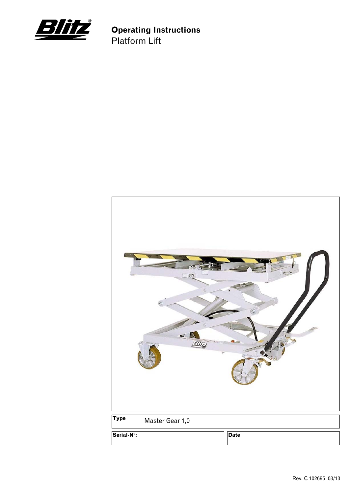

**Operating Instructions** Platform Lift

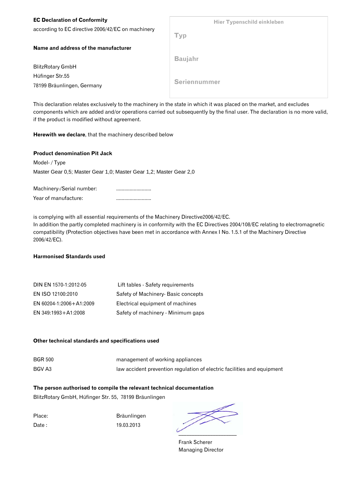| <b>EC Declaration of Conformity</b>               | Hier Typenschild einkleben |
|---------------------------------------------------|----------------------------|
| according to EC directive 2006/42/EC on machinery | <b>Typ</b>                 |
| Name and address of the manufacturer              |                            |
|                                                   | <b>Baujahr</b>             |
| <b>BlitzRotary GmbH</b>                           |                            |
| Hüfinger Str.55                                   |                            |
| 78199 Bräunlingen, Germany                        | Seriennummer               |

This declaration relates exclusively to the machinery in the state in which it was placed on the market, and excludes components which are added and/or operations carried out subsequently by the final user. The declaration is no more valid, if the product is modified without agreement.

#### **Herewith we declare**, that the machinery described below

#### **Product denomination Pit Jack**

Model- / Type Master Gear 0,5; Master Gear 1,0; Master Gear 1,2; Master Gear 2,0

| Machinery-/Serial number: |  |
|---------------------------|--|
| Year of manufacture:      |  |

is complying with all essential requirements of the Machinery Directive2006/42/EC. In addition the partly completed machinery is in conformity with the EC Directives 2004/108/EC relating to electromagnetic compatibility (Protection objectives have been met in accordance with Annex I No. 1.5.1 of the Machinery Directive 2006/42/EC).

#### **Harmonised Standards used**

| DIN EN 1570-1:2012-05   | Lift tables - Safety requirements   |
|-------------------------|-------------------------------------|
| EN ISO 12100:2010       | Safety of Machinery- Basic concepts |
| EN 60204-1:2006+A1:2009 | Electrical equipment of machines    |
| EN 349:1993+A1:2008     | Safety of machinery - Minimum gaps  |

#### **Other technical standards and specifications used**

BGR 500 management of working appliances BGV A3 law accident prevention regulation of electric facilities and equipment

#### **The person authorised to compile the relevant technical documentation**

BlitzRotary GmbH, Hüfinger Str. 55, 78199 Bräunlingen

Place: Bräunlingen Date : 19.03.2013

 $\sim$ 

 Frank Scherer Managing Director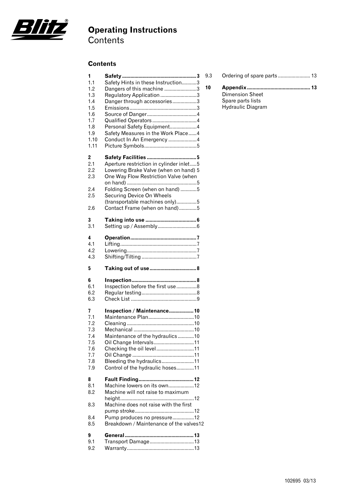

# **Operating Instructions**

**Contents** 

#### **Contents**

| 1                                           |                                                                                                                                                                                                                                                             |
|---------------------------------------------|-------------------------------------------------------------------------------------------------------------------------------------------------------------------------------------------------------------------------------------------------------------|
| 1 <sub>1</sub>                              | Safety Hints in these Instruction3                                                                                                                                                                                                                          |
| 1.2                                         | Dangers of this machine 3                                                                                                                                                                                                                                   |
| 1.3                                         | Regulatory Application 3                                                                                                                                                                                                                                    |
| 1.4                                         | Danger through accessories3                                                                                                                                                                                                                                 |
| 1.5                                         |                                                                                                                                                                                                                                                             |
| 1.6                                         |                                                                                                                                                                                                                                                             |
| 1.7                                         |                                                                                                                                                                                                                                                             |
| 1.8                                         | Personal Safety Equipment4                                                                                                                                                                                                                                  |
| 1.9                                         | Safety Measures in the Work Place4                                                                                                                                                                                                                          |
| 1.10                                        | Conduct In An Emergency 4                                                                                                                                                                                                                                   |
| 1.11                                        |                                                                                                                                                                                                                                                             |
| 2<br>2.1<br>2.2<br>2.3<br>2.4<br>2.5<br>2.6 | Aperture restriction in cylinder inlet5<br>Lowering Brake Valve (when on hand) 5<br>One Way Flow Restriction Valve (when<br>Folding Screen (when on hand) 5<br>Securing Device On Wheels<br>(transportable machines only)5<br>Contact Frame (when on hand)5 |
| 3                                           |                                                                                                                                                                                                                                                             |
| 3.1                                         |                                                                                                                                                                                                                                                             |
| 4                                           |                                                                                                                                                                                                                                                             |
| 4.1                                         |                                                                                                                                                                                                                                                             |
| 4.2                                         |                                                                                                                                                                                                                                                             |
| 4.3                                         |                                                                                                                                                                                                                                                             |
|                                             |                                                                                                                                                                                                                                                             |
| 5                                           | Taking out of use 8                                                                                                                                                                                                                                         |
| 6                                           |                                                                                                                                                                                                                                                             |
| 6.1                                         | Inspection before the first use8                                                                                                                                                                                                                            |
| 6.2                                         |                                                                                                                                                                                                                                                             |
| 6.3                                         |                                                                                                                                                                                                                                                             |
| 7                                           | Inspection / Maintenance 10                                                                                                                                                                                                                                 |
| 7.1                                         |                                                                                                                                                                                                                                                             |
| 7.2                                         |                                                                                                                                                                                                                                                             |
| 7.3                                         |                                                                                                                                                                                                                                                             |
| $\sqrt{4}$                                  | Maintenance of the hydraulics10                                                                                                                                                                                                                             |
| 7.5                                         | Oil Change Intervals11                                                                                                                                                                                                                                      |
| 7.6                                         | Checking the oil level11                                                                                                                                                                                                                                    |
| 7.7                                         |                                                                                                                                                                                                                                                             |
| 7.8                                         | Bleeding the hydraulics11                                                                                                                                                                                                                                   |
| 7.9                                         | Control of the hydraulic hoses11                                                                                                                                                                                                                            |
| 8<br>8.1<br>8.2<br>8.3<br>8.4<br>8.5        | Machine lowers on its own12<br>Machine will not raise to maximum<br>Machine does not raise with the first<br>Pump produces no pressure12<br>Breakdown / Maintenance of the valves12                                                                         |

| 9.3 |  |  |  |
|-----|--|--|--|
|-----|--|--|--|

**10 Appendix .............................................. 13** Dimension Sheet Spare parts lists Hydraulic Diagram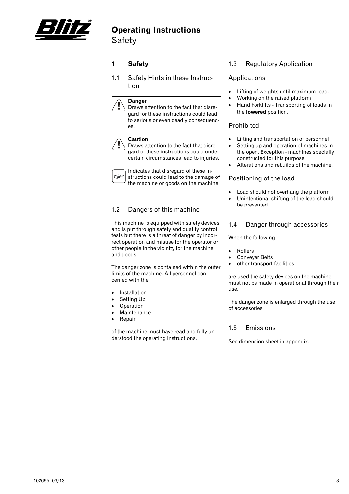

### **Operating Instructions** Safety

#### **1 Safety**

1.1 Safety Hints in these Instruction

#### **Danger**

Draws attention to the fact that disregard for these instructions could lead to serious or even deadly consequences.

#### **Caution**

Draws attention to the fact that disregard of these instructions could under certain circumstances lead to injuries.

Indicates that disregard of these in-**P** structions could lead to the damage of the machine or goods on the machine.

#### 1.2 Dangers of this machine

This machine is equipped with safety devices and is put through safety and quality control tests but there is a threat of danger by incorrect operation and misuse for the operator or other people in the vicinity for the machine and goods.

The danger zone is contained within the outer limits of the machine. All personnel concerned with the

- **Installation**
- Setting Up
- **Operation**
- **Maintenance**
- Repair

of the machine must have read and fully understood the operating instructions.

#### 1.3 Regulatory Application

#### Applications

- Lifting of weights until maximum load.
- Working on the raised platform
- Hand Forklifts Transporting of loads in the **lowered** position.

#### Prohibited

- Lifting and transportation of personnel
- Setting up and operation of machines in the open. Exception - machines specially constructed for this purpose
- Alterations and rebuilds of the machine.

#### Positioning of the load

- Load should not overhang the platform
- Unintentional shifting of the load should be prevented

#### 1.4 Danger through accessories

When the following

- **Rollers**
- Conveyer Belts
- other transport facilities

are used the safety devices on the machine must not be made in operational through their use.

The danger zone is enlarged through the use of accessories

#### 1.5 Emissions

See dimension sheet in appendix.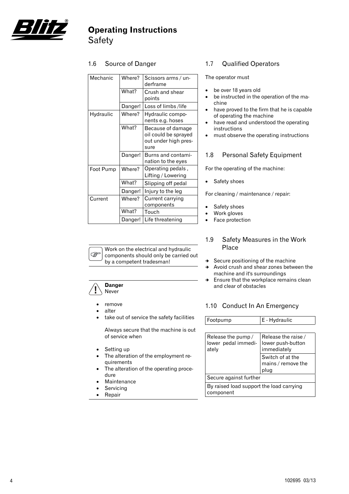

## **Operating Instructions** Safety

#### 1.6 Source of Danger

| Mechanic          | Where?  | Scissors arms / un-<br>derframe                                           |  |
|-------------------|---------|---------------------------------------------------------------------------|--|
|                   | What?   | Crush and shear<br>points                                                 |  |
|                   | Danger! | Loss of limbs/life                                                        |  |
| Hydraulic         | Where?  | Hydraulic compo-<br>nents e.g. hoses                                      |  |
|                   | What?   | Because of damage<br>oil could be sprayed<br>out under high pres-<br>sure |  |
|                   | Danger! | Burns and contami-<br>nation to the eyes                                  |  |
| Foot Pump         | Where?  | Operating pedals,<br>Lifting / Lowering                                   |  |
|                   | What?   | Slipping off pedal                                                        |  |
|                   | Danger! | Injury to the leg                                                         |  |
| Current<br>Where? |         | Current carrying<br>components                                            |  |
|                   | What?   | Touch                                                                     |  |
|                   | Danger! | Life threatening                                                          |  |

#### 1.7 Qualified Operators

The operator must

- be over 18 years old
- be instructed in the operation of the machine
- have proved to the firm that he is capable of operating the machine
- have read and understood the operating instructions
- must observe the operating instructions

#### 1.8 Personal Safety Equipment

For the operating of the machine:

• Safety shoes

For cleaning / maintenance / repair:

- Safety shoes
- Work gloves
- Face protection



- $\rightarrow$  Secure positioning of the machine
- $\rightarrow$  Avoid crush and shear zones between the machine and it's surroundings
- $\rightarrow$  Ensure that the workplace remains clean and clear of obstacles

#### 1.10 Conduct In An Emergency

| Footpump                                                                        | E - Hydraulic                                           |
|---------------------------------------------------------------------------------|---------------------------------------------------------|
|                                                                                 |                                                         |
| Release the pump/<br>lower pedal immedi-<br>ately                               | Release the raise /<br>lower push-button<br>immediately |
|                                                                                 | Switch of at the<br>mains / remove the<br>plug          |
| Secure against further<br>By raised load support the load carrying<br>component |                                                         |

**PED** 

**Danger**  Never

- remove
- alter
- take out of service the safety facilities

Work on the electrical and hydraulic components should only be carried out

by a competent tradesman!

Always secure that the machine is out of service when

- Setting up
- The alteration of the employment requirements
- The alteration of the operating procedure
- **Maintenance**
- **Servicing**
- **Repair**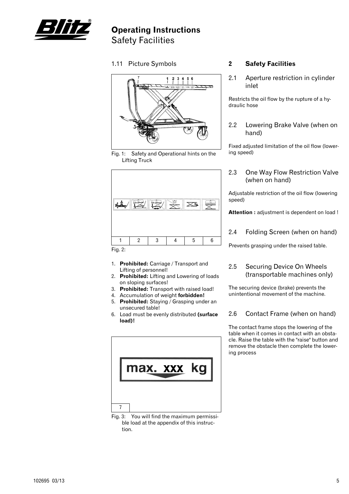

### **Operating Instructions** Safety Facilities

1.11 Picture Symbols



Fig. 1: Safety and Operational hints on the Lifting Truck



- 1. **Prohibited:** Carriage / Transport and Lifting of personnel!
- 2. **Prohibited:** Lifting and Lowering of loads on sloping surfaces!
- 3. **Prohibited:** Transport with raised load!
- 4. Accumulation of weight **forbidden!**
- 5. **Prohibited:** Staying / Grasping under an unsecured table!
- 6. Load must be evenly distributed **(surface load)!**

![](_page_6_Figure_12.jpeg)

Fig. 3: You will find the maximum permissible load at the appendix of this instruction.

#### **2 Safety Facilities**

2.1 Aperture restriction in cylinder inlet

Restricts the oil flow by the rupture of a hydraulic hose

2.2 Lowering Brake Valve (when on hand)

Fixed adjusted limitation of the oil flow (lowering speed)

2.3 One Way Flow Restriction Valve (when on hand)

Adjustable restriction of the oil flow (lowering speed)

**Attention :** adjustment is dependent on load !

2.4 Folding Screen (when on hand)

Prevents grasping under the raised table.

#### 2.5 Securing Device On Wheels (transportable machines only)

The securing device (brake) prevents the unintentional movement of the machine.

#### 2.6 Contact Frame (when on hand)

The contact frame stops the lowering of the table when it comes in contact with an obstacle. Raise the table with the "raise" button and remove the obstacle then complete the lowering process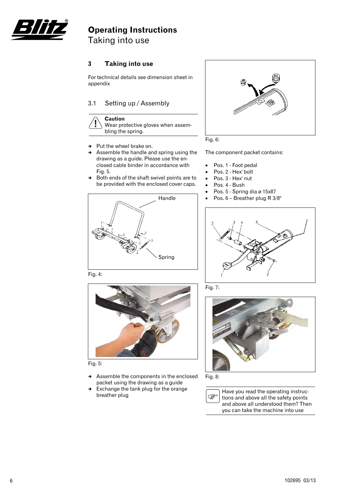![](_page_7_Picture_0.jpeg)

## **Operating Instructions** Taking into use

#### **3 Taking into use**

For technical details see dimension sheet in appendix

#### 3.1 Setting up / Assembly

![](_page_7_Picture_5.jpeg)

- $\rightarrow$  Put the wheel brake on.
- $\rightarrow$  Assemble the handle and spring using the drawing as a guide. Please use the enclosed cable binder in accordance with Fig. 5.
- $\rightarrow$  Both ends of the shaft swivel points are to be provided with the enclosed cover caps.

![](_page_7_Figure_9.jpeg)

Fig. 4:

![](_page_7_Picture_11.jpeg)

Fig. 5:

- $\rightarrow$  Assemble the components in the enclosed packet using the drawing as a guide
- $\rightarrow$  Exchange the tank plug for the orange breather plug

![](_page_7_Picture_15.jpeg)

![](_page_7_Figure_16.jpeg)

The component packet contains:

- Pos. 1 Foot pedal
- Pos. 2 Hex' bolt
- Pos. 3 Hex' nut
- Pos. 4 Bush
- Pos. 5 Spring dia ø 15x87
- Pos. 6 Breather plug R 3/8"

![](_page_7_Picture_24.jpeg)

Fig. 7:

![](_page_7_Picture_26.jpeg)

Fig. 8:

![](_page_7_Picture_28.jpeg)

Have you read the operating instructions and above all the safety points and above all understood them? Then you can take the machine into use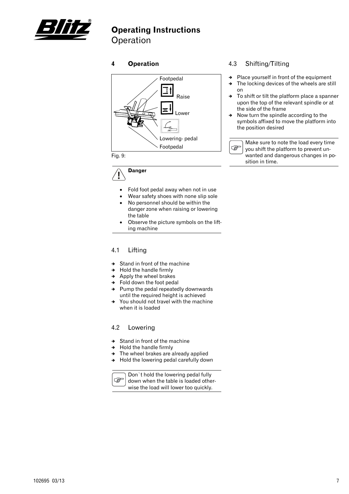![](_page_8_Picture_0.jpeg)

# **Operating Instructions**

Operation

#### **4 Operation**

![](_page_8_Figure_4.jpeg)

**Danger** 

- Fold foot pedal away when not in use
- Wear safety shoes with none slip sole
- No personnel should be within the danger zone when raising or lowering the table
- Observe the picture symbols on the lifting machine

#### 4.1 Lifting

- $\rightarrow$  Stand in front of the machine
- $\rightarrow$  Hold the handle firmly
- $\rightarrow$  Apply the wheel brakes
- $\rightarrow$  Fold down the foot pedal
- $\rightarrow$  Pump the pedal repeatedly downwards until the required height is achieved
- $\rightarrow$  You should not travel with the machine when it is loaded

#### 4.2 Lowering

- $\rightarrow$  Stand in front of the machine
- $\rightarrow$  Hold the handle firmly
- $\rightarrow$  The wheel brakes are already applied
- $\rightarrow$  Hold the lowering pedal carefully down

![](_page_8_Picture_22.jpeg)

Don`t hold the lowering pedal fully down when the table is loaded otherwise the load will lower too quickly.

#### 4.3 Shifting/Tilting

- $\rightarrow$  Place yourself in front of the equipment
- $\rightarrow$  The locking devices of the wheels are still on
- $\rightarrow$  To shift or tilt the platform place a spanner upon the top of the relevant spindle or at the side of the frame
- $\rightarrow$  Now turn the spindle according to the symbols affixed to move the platform into the position desired

![](_page_8_Figure_29.jpeg)

Make sure to note the load every time you shift the platform to prevent unwanted and dangerous changes in position in time.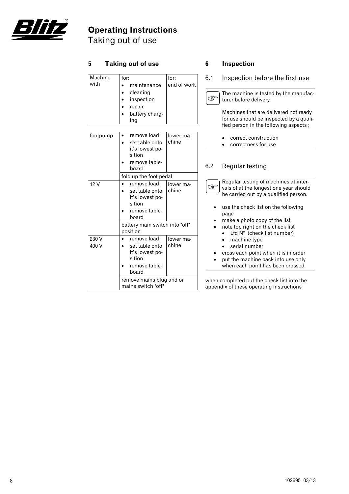![](_page_9_Picture_0.jpeg)

# **Operating Instructions**

Taking out of use

| 5               | <b>Taking out of use</b>                                                                                                                              |                     | 6                                                                                    | <b>Inspection</b>                                                                                                                                                                                        |
|-----------------|-------------------------------------------------------------------------------------------------------------------------------------------------------|---------------------|--------------------------------------------------------------------------------------|----------------------------------------------------------------------------------------------------------------------------------------------------------------------------------------------------------|
| Machine<br>with | for:<br>maintenance<br>$\bullet$                                                                                                                      | for:<br>end of work | 6.1                                                                                  | Inspection before the first use                                                                                                                                                                          |
|                 | cleaning<br>$\bullet$<br>inspection<br>$\bullet$<br>repair                                                                                            |                     | ক্তে                                                                                 | The machine is tested by the manufac-<br>turer before delivery                                                                                                                                           |
|                 | $\bullet$<br>battery charg-<br>$\bullet$<br>ing                                                                                                       |                     |                                                                                      | Machines that are delivered not ready<br>for use should be inspected by a quali-<br>fied person in the following aspects;                                                                                |
| footpump        | remove load<br>$\bullet$<br>set table onto<br>$\bullet$<br>it's lowest po-<br>sition                                                                  | lower ma-<br>chine  |                                                                                      | correct construction<br>correctness for use                                                                                                                                                              |
|                 | remove table-<br>board                                                                                                                                |                     | 6.2                                                                                  | Regular testing                                                                                                                                                                                          |
| 12V             | fold up the foot pedal<br>remove load<br>$\bullet$<br>set table onto<br>$\bullet$<br>it's lowest po-<br>sition<br>remove table-<br>$\bullet$<br>board | lower ma-<br>chine  | ক্তে                                                                                 | Regular testing of machines at inter-<br>vals of at the longest one year should<br>be carried out by a qualified person.<br>use the check list on the following<br>page<br>make a photo copy of the list |
|                 | battery main switch into "off"<br>position                                                                                                            |                     | note top right on the check list<br>Lfd $N^{\circ}$ (check list number)<br>$\bullet$ |                                                                                                                                                                                                          |
| 230 V<br>400 V  | remove load<br>$\bullet$<br>set table onto<br>$\bullet$<br>it's lowest po-<br>sition<br>remove table-<br>board                                        | lower ma-<br>chine  |                                                                                      | machine type<br>$\bullet$<br>serial number<br>$\bullet$<br>cross each point when it is in order<br>put the machine back into use only<br>when each point has been crossed                                |
|                 | remove mains plug and or<br>mains switch "off"                                                                                                        |                     |                                                                                      | when completed put the check list into the<br>appendix of these operating instructions                                                                                                                   |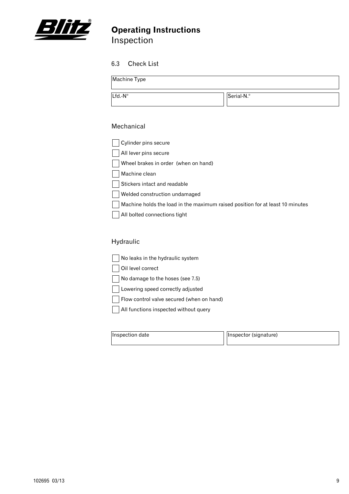![](_page_10_Picture_0.jpeg)

# **Operating Instructions Inspection**

### 6.3 Check List

| Machine Type |            |
|--------------|------------|
| Lfd.-N°      | Serial-N.º |

#### Mechanical

| Cylinder pins secure                                                          |
|-------------------------------------------------------------------------------|
| All lever pins secure                                                         |
| Wheel brakes in order (when on hand)                                          |
| Machine clean                                                                 |
| Stickers intact and readable                                                  |
| Welded construction undamaged                                                 |
| Machine holds the load in the maximum raised position for at least 10 minutes |
| All bolted connections tight                                                  |

### Hydraulic

| No leaks in the hydraulic system          |
|-------------------------------------------|
| Oil level correct                         |
| No damage to the hoses (see 7.5)          |
| Lowering speed correctly adjusted         |
| Flow control valve secured (when on hand) |
| All functions inspected without query     |
|                                           |

| Inspection date | Inspector (signature) |
|-----------------|-----------------------|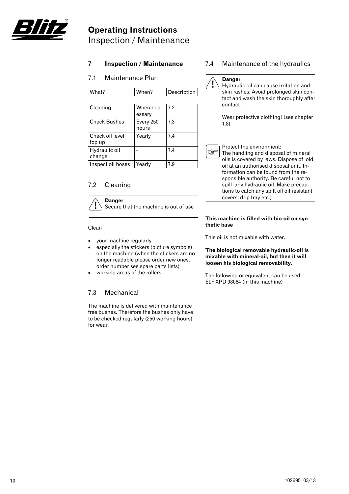![](_page_11_Picture_0.jpeg)

# **Operating Instructions** Inspection / Maintenance

#### **7 Inspection / Maintenance**

#### 7.1 Maintenance Plan

| Cleaning            | When nec-          | 7.2 |
|---------------------|--------------------|-----|
|                     | essary             |     |
| <b>Check Bushes</b> | Every 250<br>hours | 7.3 |
| Check oil level     | Yearly             | 7.4 |
| top up              |                    |     |
| Hydraulic oil       |                    | 7.4 |
| change              |                    |     |
| Inspect oil hoses   | Yearly             | 7.9 |

What? When? Description

#### 7.2 Cleaning

**Danger**  Secure that the machine is out of use

#### Clean

- your machine regularly
- especially the stickers (picture symbols) on the machine.(when the stickers are no longer readable please order new ones, order number see spare parts lists)
- working areas of the rollers

#### 7.3 Mechanical

The machine is delivered with maintenance free bushes. Therefore the bushes only have to be checked regularly (250 working hours) for wear.

#### 7.4 Maintenance of the hydraulics

### **Danger**

Hydraulic oil can cause irritation and skin rashes. Avoid prolonged skin contact and wash the skin thoroughly after contact.

Wear protective clothing! (see chapter 1.8)

Protect the environment:

**PEN** The handling and disposal of mineral oils is covered by laws. Dispose of old oil at an authorised disposal unit. Information can be found from the responsible authority. Be careful not to spill any hydraulic oil. Make precautions to catch any spilt oil oil resistant covers, drip tray etc.)

#### **This machine is filled with bio-oil on synthetic base**

This oil is not mixable with water.

#### **The biological removable hydraulic-oil is mixable with mineral-oil, but then it will loosen his biological removability.**

The following or equivalent can be used: ELF XPD 98064 (in this machine)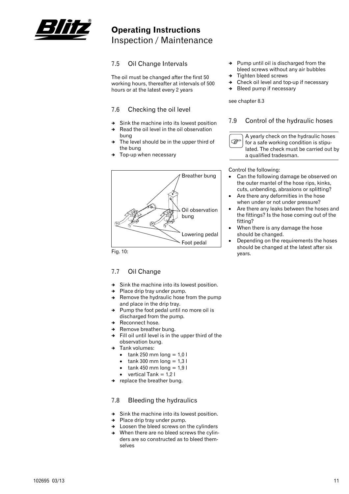![](_page_12_Picture_0.jpeg)

## **Operating Instructions** Inspection / Maintenance

#### 7.5 Oil Change Intervals

The oil must be changed after the first 50 working hours, thereafter at intervals of 500 hours or at the latest every 2 years

#### 7.6 Checking the oil level

- $\rightarrow$  Sink the machine into its lowest position
- $\rightarrow$  Read the oil level in the oil observation
- bung The level should be in the upper third of the bung
- Top-up when necessary

![](_page_12_Figure_9.jpeg)

Fig. 10:

#### 7.7 Oil Change

- $\rightarrow$  Sink the machine into its lowest position.
- $\rightarrow$  Place drip tray under pump.
- $\rightarrow$  Remove the hydraulic hose from the pump and place in the drip tray.
- $\rightarrow$  Pump the foot pedal until no more oil is discharged from the pump.
- Reconnect hose.
- Remove breather bung.
- $\rightarrow$  Fill oil until level is in the upper third of the observation bung.
- Tank volumes:
	- $\bullet$  tank 250 mm long = 1,0 l
	- $tank 300$  mm long = 1,3 l
	- $tank 450$  mm long = 1.9 l
	- vertical Tank  $= 1.2$  l
- $\rightarrow$  replace the breather bung.

#### 7.8 Bleeding the hydraulics

- $\rightarrow$  Sink the machine into its lowest position.
- $\rightarrow$  Place drip tray under pump.
- $\rightarrow$  Loosen the bleed screws on the cylinders
- $\rightarrow$  When there are no bleed screws the cylinders are so constructed as to bleed themselves
- $\rightarrow$  Pump until oil is discharged from the bleed screws without any air bubbles
- Tighten bleed screws
- Check oil level and top-up if necessary
- $\rightarrow$  Bleed pump if necessary

see chapter 8.3

#### 7.9 Control of the hydraulic hoses

![](_page_12_Picture_36.jpeg)

A yearly check on the hydraulic hoses for a safe working condition is stipulated. The check must be carried out by a qualified tradesman.

Control the following:

- Can the following damage be observed on the outer mantel of the hose rips, kinks, cuts, unbending, abrasions or splitting?
- Are there any deformities in the hose when under or not under pressure?
- Are there any leaks between the hoses and the fittings? Is the hose coming out of the fitting?
- When there is any damage the hose should be changed.
- Depending on the requirements the hoses should be changed at the latest after six years.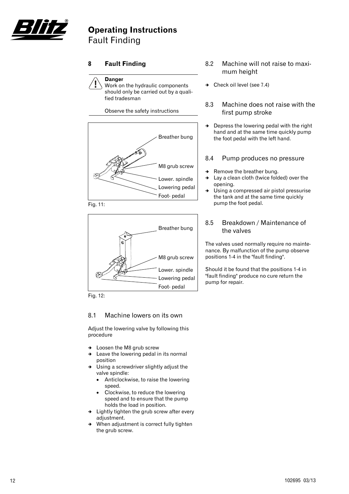![](_page_13_Picture_0.jpeg)

### **Operating Instructions** Fault Finding

#### **8 Fault Finding**

![](_page_13_Picture_3.jpeg)

Work on the hydraulic components should only be carried out by a qualified tradesman

Observe the safety instructions

![](_page_13_Figure_6.jpeg)

![](_page_13_Figure_7.jpeg)

![](_page_13_Figure_8.jpeg)

Fig. 12:

#### 8.1 Machine lowers on its own

Adjust the lowering valve by following this procedure

- $\rightarrow$  Loosen the M8 grub screw
- Leave the lowering pedal in its normal position
- Using a screwdriver slightly adjust the valve spindle:
	- Anticlockwise, to raise the lowering speed.
	- Clockwise, to reduce the lowering speed and to ensure that the pump holds the load in position.
- $\rightarrow$  Lightly tighten the grub screw after every adjustment.
- When adjustment is correct fully tighten the grub screw.
- 8.2 Machine will not raise to maximum height
- $\rightarrow$  Check oil level (see 7.4)

#### 8.3 Machine does not raise with the first pump stroke

 $\rightarrow$  Depress the lowering pedal with the right hand and at the same time quickly pump the foot pedal with the left hand.

#### 8.4 Pump produces no pressure

- $\rightarrow$  Remove the breather bung.
- $\rightarrow$  Lay a clean cloth (twice folded) over the opening.
- $\rightarrow$  Using a compressed air pistol pressurise the tank and at the same time quickly pump the foot pedal.

#### 8.5 Breakdown / Maintenance of the valves

The valves used normally require no maintenance. By malfunction of the pump observe positions 1-4 in the "fault finding".

Should it be found that the positions 1-4 in "fault finding" produce no cure return the pump for repair.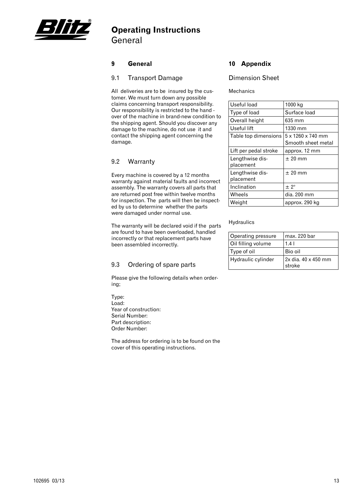![](_page_14_Picture_0.jpeg)

### **Operating Instructions** General

#### **9 General**

#### 9.1 Transport Damage

All deliveries are to be insured by the customer. We must turn down any possible claims concerning transport responsibility. Our responsibility is restricted to the hand over of the machine in brand-new condition to the shipping agent. Should you discover any damage to the machine, do not use it and contact the shipping agent concerning the damage.

#### 9.2 Warranty

Every machine is covered by a 12 months warranty against material faults and incorrect assembly. The warranty covers all parts that are returned post free within twelve months for inspection. The parts will then be inspected by us to determine whether the parts were damaged under normal use.

The warranty will be declared void if the parts are found to have been overloaded, handled incorrectly or that replacement parts have been assembled incorrectly.

#### 9.3 Ordering of spare parts

Please give the following details when ordering;

Type: Load: Year of construction: Serial Number: Part description: Order Number:

The address for ordering is to be found on the cover of this operating instructions.

#### **10 Appendix**

#### Dimension Sheet

#### Mechanics

| Useful load                  | 1000 kg                                 |
|------------------------------|-----------------------------------------|
| Type of load                 | Surface load                            |
| Overall height               | 635 mm                                  |
| Useful lift                  | 1330 mm                                 |
| Table top dimensions         | 5 x 1260 x 740 mm<br>Smooth sheet metal |
| Lift per pedal stroke        | approx. 12 mm                           |
| Lengthwise dis-<br>placement | $± 20$ mm                               |
| Lengthwise dis-<br>placement | $\pm$ 20 mm                             |
| Inclination                  | $\pm 2^{\circ}$                         |
| Wheels                       | dia. 200 mm                             |
| Weight                       | approx. 290 kg                          |

#### **Hydraulics**

| Operating pressure | max. 220 bar                  |
|--------------------|-------------------------------|
| Oil filling volume | 1.4 <sub>1</sub>              |
| Type of oil        | Bio oil                       |
| Hydraulic cylinder | 2x dia. 40 x 450 mm<br>stroke |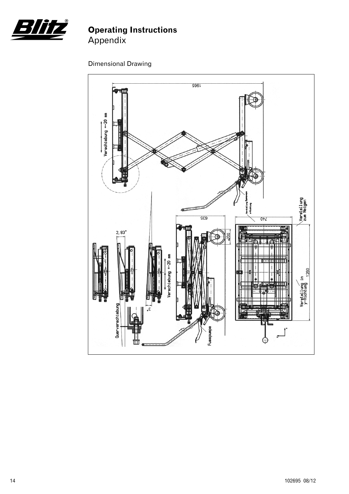![](_page_15_Picture_0.jpeg)

### Dimensional Drawing

![](_page_15_Figure_3.jpeg)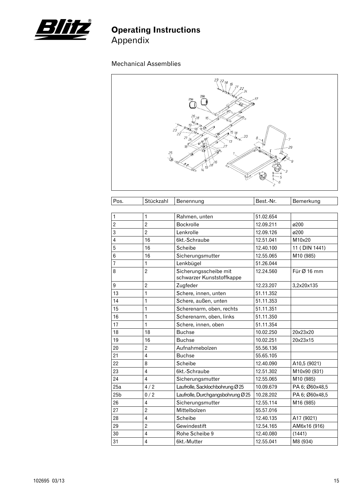![](_page_16_Picture_0.jpeg)

### Mechanical Assemblies

| 23218<br>19<br>21<br>$\frac{22}{24}$<br>25b                                                                                                                             |  |
|-------------------------------------------------------------------------------------------------------------------------------------------------------------------------|--|
| 17<br>25a<br>$^{26}_{128}$<br>16                                                                                                                                        |  |
| 10<br>$2\tilde{3}$<br>'C<br>$1^{15}$ 18<br>ு⊚<br>$22\degree$<br>a.<br>SG<br>. 20<br>21<br>$\varphi^{\!\!\!\!\!C}$<br>R<br>7<br>24<br>രീ<br>$13\,$                       |  |
| $\mathscr{A}^\mathscr{D}$<br>$n^{\mathcal{C}}$<br>ő<br>27<br>$-29$<br>$25 \n\frac{2}{1}$<br>⊕<br>≺<br>Q0<br>$19\frac{28}{5}$<br>9<br>962<br>$\mathscr{R}_{\mathscr{A}}$ |  |
| $\mathcal{U}_4$<br>4C)<br>-3<br>6<br>2                                                                                                                                  |  |

| Pos.             | Stückzahl               | Benennung                                          | Best.-Nr. | Bemerkung      |
|------------------|-------------------------|----------------------------------------------------|-----------|----------------|
|                  |                         |                                                    |           |                |
| 1                | 1                       | Rahmen, unten                                      | 51.02.654 |                |
| $\overline{2}$   | $\overline{2}$          | Bockrolle                                          | 12.09.211 | ø200           |
| 3                | $\overline{2}$          | Lenkrolle                                          | 12.09.126 | ø200           |
| $\overline{4}$   | 16                      | 6kt.-Schraube                                      | 12.51.041 | M10x20         |
| 5                | 16                      | <b>Scheibe</b>                                     | 12.40.100 | 11 (DIN 1441)  |
| 6                | 16                      | Sicherungsmutter                                   | 12.55.065 | M10 (985)      |
| 7                | 1                       | Lenkbügel                                          | 51.26.044 |                |
| 8                | $\overline{2}$          | Sicherungsscheibe mit<br>schwarzer Kunststoffkappe | 12.24.560 | Für Ø 16 mm    |
| $\boldsymbol{9}$ | $\overline{2}$          | Zugfeder                                           | 12.23.207 | 3,2x20x135     |
| 13               | 1                       | Schere, innen, unten                               | 51.11.352 |                |
| 14               | 1                       | Schere, außen, unten                               | 51.11.353 |                |
| 15               | 1                       | Scherenarm, oben, rechts                           | 51.11.351 |                |
| 16               | 1                       | Scherenarm, oben, links                            | 51.11.350 |                |
| 17               | 1                       | Schere, innen, oben                                | 51.11.354 |                |
| 18               | 18                      | <b>Buchse</b>                                      | 10.02.250 | 20x23x20       |
| 19               | 16                      | <b>Buchse</b>                                      | 10.02.251 | 20x23x15       |
| 20               | $\overline{2}$          | Aufnahmebolzen                                     | 55.56.136 |                |
| 21               | $\overline{4}$          | <b>Buchse</b>                                      | 55.65.105 |                |
| 22               | 8                       | Scheibe                                            | 12.40.090 | A10,5 (9021)   |
| 23               | $\overline{4}$          | 6kt.-Schraube                                      | 12.51.302 | M10x90 (931)   |
| 24               | $\overline{4}$          | Sicherungsmutter                                   | 12.55.065 | M10 (985)      |
| 25a              | 4/2                     | Laufrolle, Sacklochbohrung Ø 25                    | 10.09.679 | PA 6; Ø60x48,5 |
| 25 <sub>b</sub>  | 0/2                     | Laufrolle, Durchgangsbohrung Ø 25                  | 10.28.202 | PA 6; Ø60x48,5 |
| 26               | 4                       | Sicherungsmutter                                   | 12.55.114 | M16 (985)      |
| 27               | $\overline{2}$          | Mittelbolzen                                       | 55.57.016 |                |
| 28               | $\overline{\mathbf{4}}$ | Scheibe                                            | 12.40.135 | A17 (9021)     |
| 29               | $\overline{2}$          | Gewindestift                                       | 12.54.165 | AM6x16 (916)   |
| 30               | $\overline{4}$          | Rohe Scheibe 9                                     | 12.40.080 | (1441)         |
| 31               | $\overline{\mathbf{4}}$ | 6kt.-Mutter                                        | 12.55.041 | M8 (934)       |
|                  |                         |                                                    |           |                |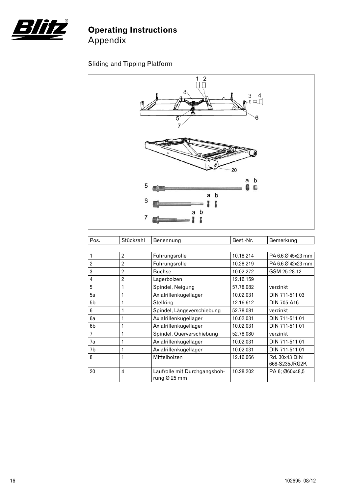![](_page_17_Picture_0.jpeg)

### Sliding and Tipping Platform

![](_page_17_Figure_3.jpeg)

| Pos.                    | Stückzahl      | Benennung                                                | Best.-Nr. | Bemerkung                      |
|-------------------------|----------------|----------------------------------------------------------|-----------|--------------------------------|
|                         |                |                                                          |           |                                |
|                         | $\overline{2}$ | Führungsrolle                                            | 10.18.214 | PA 6.6 Ø 45x23 mm              |
| $\overline{2}$          | $\overline{2}$ | Führungsrolle                                            | 10.28.219 | PA 6.6 Ø 42x23 mm              |
| 3                       | $\overline{2}$ | <b>Buchse</b>                                            | 10.02.272 | GSM 25-28-12                   |
| $\overline{\mathbf{4}}$ | $\overline{2}$ | Lagerbolzen                                              | 12.16.159 |                                |
| 5                       | 1              | Spindel, Neigung                                         | 57.78.082 | verzinkt                       |
| 5a                      | 1              | Axialrillenkugellager                                    | 10.02.031 | DIN 711-511 03                 |
| 5 <sub>b</sub>          | 1              | Stellring                                                | 12.16.612 | DIN 705-A16                    |
| 6                       | 1              | Spindel, Längsverschiebung                               | 52.78.081 | verzinkt                       |
| 6a                      | 1              | Axialrillenkugellager                                    | 10.02.031 | DIN 711-511 01                 |
| 6 <sub>b</sub>          | 1              | Axialrillenkugellager                                    | 10.02.031 | DIN 711-511 01                 |
| $\overline{1}$          | 1              | Spindel, Querverschiebung                                | 52.78.080 | verzinkt                       |
| 7a                      | 1              | Axialrillenkugellager                                    | 10.02.031 | DIN 711-511 01                 |
| 7b                      | 1              | Axialrillenkugellager                                    | 10.02.031 | DIN 711-511 01                 |
| 8                       | 1              | Mittelbolzen                                             | 12.16.066 | Rd. 30x43 DIN<br>668-S235JRG2K |
| 20                      | 4              | Laufrolle mit Durchgangsboh-<br>rung $\varnothing$ 25 mm | 10.28.202 | PA 6; Ø60x48,5                 |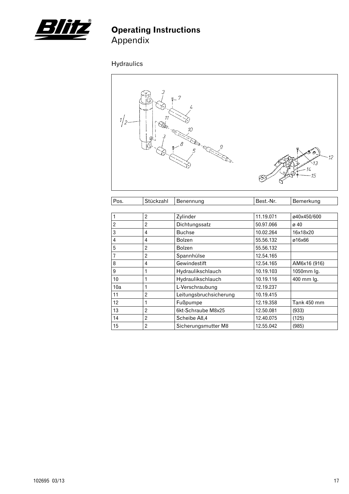![](_page_18_Picture_0.jpeg)

# Hydraulics

![](_page_18_Figure_3.jpeg)

| Pos. | Stückzahl      | Benennung              | Best.-Nr. | Bemerkung    |
|------|----------------|------------------------|-----------|--------------|
|      |                |                        |           |              |
|      | $\overline{2}$ | Zylinder               | 11.19.071 | ø40x450/600  |
| 2    | $\overline{2}$ | Dichtungssatz          | 50.97.066 | ø 40         |
| 3    | 4              | <b>Buchse</b>          | 10.02.264 | 16x18x20     |
| 4    | 4              | <b>Bolzen</b>          | 55.56.132 | ø16x66       |
| 5    | 2              | <b>Bolzen</b>          | 55.56.132 |              |
|      | $\overline{2}$ | Spannhülse             | 12.54.165 |              |
| 8    | 4              | Gewindestift           | 12.54.165 | AM6x16 (916) |
| 9    |                | Hydraulikschlauch      | 10.19.103 | 1050mm lg.   |
| 10   |                | Hydraulikschlauch      | 10.19.116 | 400 mm lg.   |
| 10a  |                | L-Verschraubung        | 12.19.237 |              |
| 11   | $\overline{2}$ | Leitungsbruchsicherung | 10.19.415 |              |
| 12   | 1              | Fußpumpe               | 12.19.358 | Tank 450 mm  |
| 13   | $\overline{2}$ | 6kt-Schraube M8x25     | 12.50.081 | (933)        |
| 14   | $\overline{2}$ | Scheibe A8,4           | 12.40.075 | (125)        |
| 15   | 2              | Sicherungsmutter M8    | 12.55.042 | (985)        |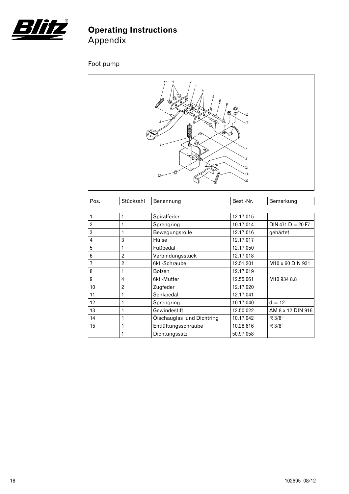![](_page_19_Picture_0.jpeg)

# Foot pump

![](_page_19_Figure_3.jpeg)

| Pos.           | Stückzahl      | Benennung                 | Best.-Nr. | Bemerkung           |
|----------------|----------------|---------------------------|-----------|---------------------|
|                |                |                           |           |                     |
|                | 1              | Spiralfeder               | 12.17.015 |                     |
| $\overline{2}$ | 1              | Sprengring                | 10.17.014 | $DIN 471 D = 20 F7$ |
| 3              | 1              | Bewegungsrolle            | 12.17.016 | gehärtet            |
| 4              | 3              | Hülse                     | 12.17.017 |                     |
| 5              | 1              | Fußpedal                  | 12.17.050 |                     |
| 6              | $\overline{2}$ | Verbindungsstück          | 12.17.018 |                     |
|                | $\overline{2}$ | 6kt.-Schraube             | 12.51.201 | M10 x 60 DIN 931    |
| 8              | 1              | <b>Bolzen</b>             | 12.17.019 |                     |
| 9              | 4              | 6kt.-Mutter               | 12.55.061 | M10 934 8.8         |
| 10             | $\overline{2}$ | Zugfeder                  | 12.17.020 |                     |
| 11             | 1              | Senkpedal                 | 12.17.041 |                     |
| 12             | 1              | Sprengring                | 10.17.040 | $d = 12$            |
| 13             | $\mathbf{1}$   | Gewindestift              | 12.50.022 | AM 8 x 12 DIN 916   |
| 14             | 1              | Ölschauglas und Dichtring | 10.17.042 | R 3/8"              |
| 15             | 1              | Entlüftungsschraube       | 10.28.616 | R 3/8"              |
|                | 1              | Dichtungssatz             | 50.97.058 |                     |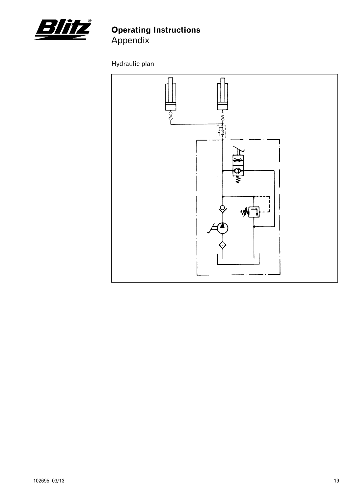![](_page_20_Picture_0.jpeg)

Hydraulic plan

![](_page_20_Figure_3.jpeg)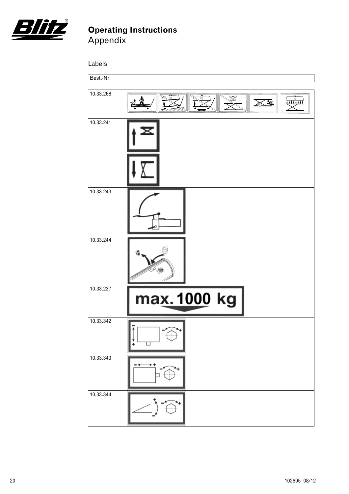![](_page_21_Picture_0.jpeg)

Labels

![](_page_21_Picture_3.jpeg)